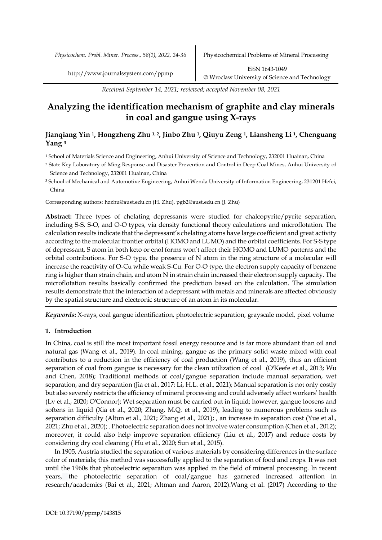*Physicochem. Probl. Miner. Process., 58(1), 2022, 24-36* Physicochemical Problems of Mineral Processing

*Received September 14, 2021; reviewed; accepted November 08, 2021*

# **Analyzing the identification mechanism of graphite and clay minerals in coal and gangue using X-rays**

# **Jianqiang Yin 1, Hongzheng Zhu 1, 2, Jinbo Zhu 1, Qiuyu Zeng 1, Liansheng Li 1, Chenguang Yang <sup>3</sup>**

<sup>1</sup> School of Materials Science and Engineering, Anhui University of Science and Technology, 232001 Huainan, China

- <sup>2</sup> State Key Laboratory of Ming Response and Disaster Prevention and Control in Deep Coal Mines, Anhui University of Science and Technology, 232001 Huainan, China
- <sup>3</sup> School of Mechanical and Automotive Engineering, Anhui Wenda University of Information Engineering, 231201 Hefei, China

Corresponding authors: hzzhu@aust.edu.cn (H. Zhu), pgb2@aust.edu.cn (J. Zhu)

Abstract: Three types of chelating depressants were studied for chalcopyrite/pyrite separation, including S-S, S-O, and O-O types, via density functional theory calculations and microflotation. The calculation results indicate that the depressant's chelating atoms have large coefficient and great activity according to the molecular frontier orbital (HOMO and LUMO) and the orbital coefficients. For S-S type of depressant, S atom in both keto or enol forms won't affect their HOMO and LUMO patterns and the orbital contributions. For S-O type, the presence of N atom in the ring structure of a molecular will increase the reactivity of O-Cu while weak S-Cu. For O-O type, the electron supply capacity of benzene ring is higher than strain chain, and atom N in strain chain increased their electron supply capacity. The microflotation results basically confirmed the prediction based on the calculation. The simulation results demonstrate that the interaction of a depressant with metals and minerals are affected obviously by the spatial structure and electronic structure of an atom in its molecular.

*Keywords***:** X-rays, coal gangue identification, photoelectric separation, grayscale model, pixel volume

# **1. Introduction**

In China, coal is still the most important fossil energy resource and is far more abundant than oil and natural gas (Wang et al., 2019). In coal mining, gangue as the primary solid waste mixed with coal contributes to a reduction in the efficiency of coal production (Wang et al., 2019), thus an efficient separation of coal from gangue is necessary for the clean utilization of coal (O'Keefe et al., 2013; Wu and Chen, 2018); Traditional methods of coal/gangue separation include manual separation, wet separation, and dry separation (Jia et al., 2017; Li, H.L. et al., 2021); Manual separation is not only costly but also severely restricts the efficiency of mineral processing and could adversely affect workers' health (Lv et al., 2020; O'Connor); Wet separation must be carried out in liquid; however, gangue loosens and softens in liquid (Xia et al., 2020; Zhang, M.Q. et al., 2019), leading to numerous problems such as separation difficulty (Altun et al., 2021; Zhang et al., 2021); , an increase in separation cost (Yue et al., 2021; Zhu et al., 2020); . Photoelectric separation does not involve water consumption (Chen et al., 2012); moreover, it could also help improve separation efficiency (Liu et al., 2017) and reduce costs by considering dry coal cleaning ( Hu et al., 2020; Sun et al., 2015).

In 1905, Austria studied the separation of various materials by considering differences in the surface color of materials; this method was successfully applied to the separation of food and crops. It was not until the 1960s that photoelectric separation was applied in the field of mineral processing. In recent years, the photoelectric separation of coal/gangue has garnered increased attention in research/academics (Bai et al., 2021; Altman and Aaron, 2012).Wang et al. (2017) According to the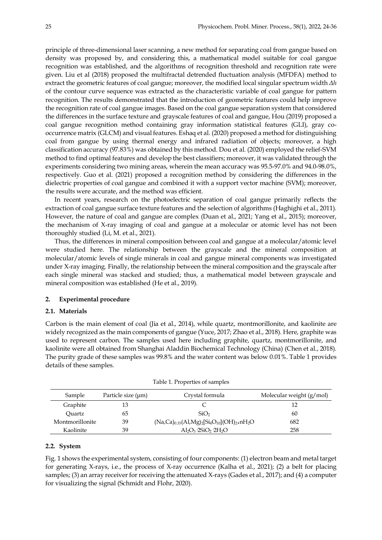principle of three-dimensional laser scanning, a new method for separating coal from gangue based on density was proposed by, and considering this, a mathematical model suitable for coal gangue recognition was established, and the algorithms of recognition threshold and recognition rate were given. Liu et al (2018) proposed the multifractal detrended fluctuation analysis (MFDFA) method to extract the geometric features of coal gangue; moreover, the modified local singular spectrum width *Δh* of the contour curve sequence was extracted as the characteristic variable of coal gangue for pattern recognition. The results demonstrated that the introduction of geometric features could help improve the recognition rate of coal gangue images. Based on the coal gangue separation system that considered the differences in the surface texture and grayscale features of coal and gangue, Hou (2019) proposed a coal gangue recognition method containing gray information statistical features (GLI), gray cooccurrence matrix (GLCM) and visual features. Eshaq et al. (2020) proposed a method for distinguishing coal from gangue by using thermal energy and infrared radiation of objects; moreover, a high classification accuracy (97.83%) was obtained by this method. Dou et al. (2020) employed the relief-SVM method to find optimal features and develop the best classifiers; moreover, it was validated through the experiments considering two mining areas, wherein the mean accuracy was 95.5-97.0% and 94.0-98.0%, respectively. Guo et al. (2021) proposed a recognition method by considering the differences in the dielectric properties of coal gangue and combined it with a support vector machine (SVM); moreover, the results were accurate, and the method was efficient.

In recent years, research on the photoelectric separation of coal gangue primarily reflects the extraction of coal gangue surface texture features and the selection of algorithms (Haghighi et al., 2011). However, the nature of coal and gangue are complex (Duan et al., 2021; Yang et al., 2015); moreover, the mechanism of X-ray imaging of coal and gangue at a molecular or atomic level has not been thoroughly studied (Li, M. et al., 2021).

Thus, the differences in mineral composition between coal and gangue at a molecular/atomic level were studied here. The relationship between the grayscale and the mineral composition at molecular/atomic levels of single minerals in coal and gangue mineral components was investigated under X-ray imaging. Finally, the relationship between the mineral composition and the grayscale after each single mineral was stacked and studied; thus, a mathematical model between grayscale and mineral composition was established (He et al., 2019).

# **2. Experimental procedure**

# **2.1. Materials**

Carbon is the main element of coal (Jia et al., 2014), while quartz, montmorillonite, and kaolinite are widely recognized as the main components of gangue (Yuce, 2017; Zhao et al., 2018). Here, graphite was used to represent carbon. The samples used here including graphite, quartz, montmorillonite, and kaolinite were all obtained from Shanghai Aladdin Biochemical Technology (China) (Chen et al., 2018). The purity grade of these samples was 99.8% and the water content was below 0.01%. Table 1 provides details of these samples.

| Sample          | Particle size (µm) | Crystal formula                                           | Molecular weight $(g/mol)$ |
|-----------------|--------------------|-----------------------------------------------------------|----------------------------|
| Graphite        | 13                 |                                                           | 12                         |
| Ouartz          | 65                 | SiO <sub>2</sub>                                          | 60                         |
| Montmorillonite | 39                 | $(Na, Ca)_{0.33}(Al, Mg)_2[Si_4O_{10}](OH)_2 \cdot nH_2O$ | 682                        |
| Kaolinite       | 39                 | $Al_2O_3$ 2SiO <sub>2</sub> 2H <sub>2</sub> O             | 258                        |

| Table 1. Properties of samples |  |  |  |
|--------------------------------|--|--|--|
|                                |  |  |  |

#### **2.2. System**

Fig. 1 shows the experimental system, consisting of four components: (1) electron beam and metal target for generating X-rays, i.e., the process of X-ray occurrence (Kalha et al., 2021); (2) a belt for placing samples; (3) an array receiver for receiving the attenuated X-rays (Gades et al., 2017); and (4) a computer for visualizing the signal (Schmidt and Flohr, 2020).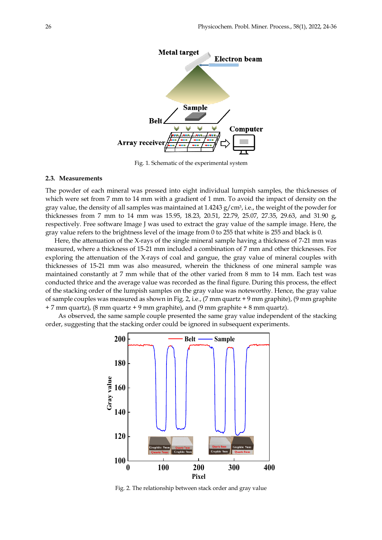

Fig. 1. Schematic of the experimental system

# **2.3. Measurements**

The powder of each mineral was pressed into eight individual lumpish samples, the thicknesses of which were set from 7 mm to 14 mm with a gradient of 1 mm. To avoid the impact of density on the gray value, the density of all samples was maintained at  $1.4243$  g/cm<sup>3</sup>, i.e., the weight of the powder for thicknesses from 7 mm to 14 mm was 15.95, 18.23, 20.51, 22.79, 25.07, 27.35, 29.63, and 31.90 g, respectively. Free software Image J was used to extract the gray value of the sample image. Here, the gray value refers to the brightness level of the image from 0 to 255 that white is 255 and black is 0.

Here, the attenuation of the X-rays of the single mineral sample having a thickness of 7-21 mm was measured, where a thickness of 15-21 mm included a combination of 7 mm and other thicknesses. For exploring the attenuation of the X-rays of coal and gangue, the gray value of mineral couples with thicknesses of 15-21 mm was also measured, wherein the thickness of one mineral sample was maintained constantly at 7 mm while that of the other varied from 8 mm to 14 mm. Each test was conducted thrice and the average value was recorded as the final figure. During this process, the effect of the stacking order of the lumpish samples on the gray value was noteworthy. Hence, the gray value of sample couples was measured as shown in Fig. 2, i.e., (7 mm quartz + 9 mm graphite), (9 mm graphite  $+ 7$  mm quartz), (8 mm quartz  $+ 9$  mm graphite), and (9 mm graphite  $+ 8$  mm quartz).

As observed, the same sample couple presented the same gray value independent of the stacking order, suggesting that the stacking order could be ignored in subsequent experiments.



Fig. 2. The relationship between stack order and gray value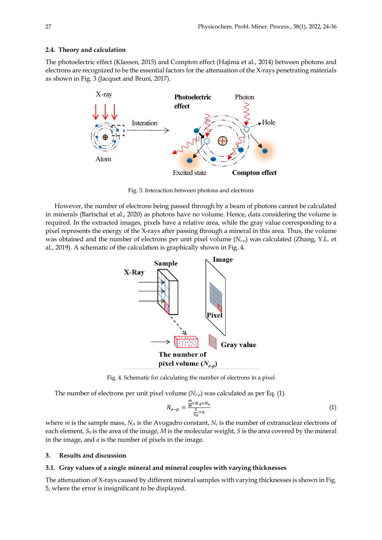#### **2.4. Theory and calculation**

The photoelectric effect (Klassen, 2015) and Compton effect (Hajima et al., 2014) between photons and electrons are recognized to be the essential factors for the attenuation of the X-rays penetrating materials as shown in Fig. 3 (Jacquet and Bruni, 2017).



Fig. 3. Interaction between photons and electrons

However, the number of electrons being passed through by a beam of photons cannot be calculated in minerals (Bartschat et al., 2020) as photons have no volume. Hence, data considering the volume is required. In the extracted images, pixels have a relative area, while the gray value corresponding to a pixel represents the energy of the X-rays after passing through a mineral in this area. Thus, the volume was obtained and the number of electrons per unit pixel volume ( $N_{e-p}$ ) was calculated (Zhang, Y.L. et al., 2019). A schematic of the calculation is graphically shown in Fig. 4.



Fig. 4. Schematic for calculating the number of electrons in a pixel

The number of electrons per unit pixel volume  $(N_{e-p})$  was calculated as per Eq. (1).

$$
N_{e-p} = \frac{\frac{m}{M} \times N_A \times N_e}{\frac{S}{S_0} \times \alpha} \tag{1}
$$

where *m* is the sample mass,  $N_A$  is the Avogadro constant,  $N_e$  is the number of extranuclear electrons of each element, *S0* is the area of the image, *M* is the molecular weight, *S* is the area covered by the mineral in the image, and *α* is the number of pixels in the image.

# **3. Results and discussion**

#### **3.1. Gray values of a single mineral and mineral couples with varying thicknesses**

The attenuation of X-rays caused by different mineral samples with varying thicknesses is shown in Fig. 5, where the error is insignificant to be displayed.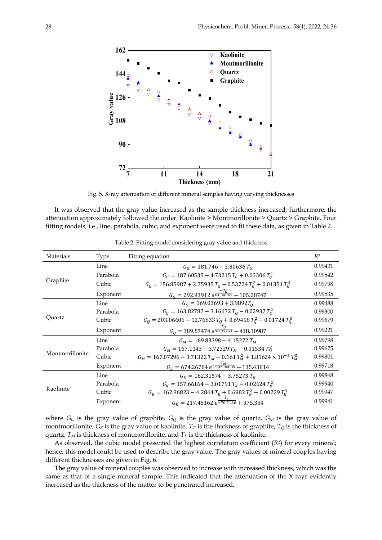

Fig. 5. X-ray attenuation of different mineral samples having varying thicknesses

It was observed that the gray value increased as the sample thickness increased; furthermore, the attenuation approximately followed the order: Kaolinite > Montmorillonite > Quartz > Graphite. Four fitting models, i.e., line, parabola, cubic, and exponent were used to fit these data, as given in Table 2.

| Materials       | <b>Type</b> | Fitting equation                                                             | R <sup>2</sup> |
|-----------------|-------------|------------------------------------------------------------------------------|----------------|
| Graphite        | Line        | $G_c = 181.746 - 3.80636 T_c$                                                | 0.99431        |
|                 | Parabola    | $G_G = 187.60535 - 4.73215 T_G + 0.03306 T_G^2$                              | 0.99542        |
|                 | Cubic       | $G_G$ = 156.85987 + 2.75935 $T_G$ – 0.53724 $T_G^2$ + 0.01351 $T_G^3$        | 0.99798        |
|                 | Exponent    | $G_c = 292.93912 e^{\frac{-T_G}{61.34561}} - 105.28747$                      | 0.99535        |
| Quartz          | Line        | $G0 = 169.03693 + 3.9892T0$                                                  | 0.99488        |
|                 | Parabola    | $G_0 = 163.82787 - 3.16672 T_0 - 0.02937 T_0^2$                              | 0.99300        |
|                 | Cubic       | $G_0 = 203.06606 - 12.76633 T_0 + 0.69458 T_0^2 - 0.01724 T_0^3$             | 0.99679        |
|                 | Exponent    | $G_0 = 389.57474 e^{\frac{T_Q}{98.95263}} + 418.10987$                       | 0.99221        |
| Montmorillonite | Line        | $G_M = 169.83398 - 4.15272 T_M$                                              | 0.99798        |
|                 | Parabola    | $G_M = 167.1143 - 3.72329 T_M - 0.01534 T_M^2$                               | 0.99625        |
|                 | Cubic       | $G_M = 167.07296 - 3.71322 T_M - 0.161 T_M^2 + 1.81624 \times 10^{-5} T_M^3$ | 0.99801        |
|                 | Exponent    | $G_K = 674.26784 e^{\frac{I_M}{-507.04839}} - 135.43814$                     | 0.99718        |
| Kaolinite       | Line        | $G_K = 162.31574 - 3.75273 T_K$                                              | 0.99868        |
|                 | Parabola    | $G_K = 157.66164 - 3.01791 T_K - 0.02624 T_K^2$                              | 0.99940        |
|                 | Cubic       | $G_K = 162.86823 - 4.2864 T_K + 0.6982 T_K^2 - 0.00229 T_K^3$                | 0.99947        |
|                 | Exponent    | $G_K = 217.46162 e^{\frac{T_K}{-70.7136}} + 375.354$                         | 0.99941        |

Table 2. Fitting model considering gray value and thickness

where  $G_G$  is the gray value of graphite,  $G_Q$  is the gray value of quartz,  $G_M$  is the gray value of montmorillonite,  $G_K$  is the gray value of kaolinite,  $T_G$  is the thickness of graphite,  $T_Q$  is the thickness of quartz,  $T_M$  is thickness of montmorillonite, and  $T_K$  is the thickness of kaolinite.

As observed, the cubic model presented the highest correlation coefficient (*R2*) for every mineral; hence, this model could be used to describe the gray value. The gray values of mineral couples having different thicknesses are given in Fig. 6.

The gray value of mineral couples was observed to increase with increased thickness, which was the same as that of a single mineral sample. This indicated that the attenuation of the X-rays evidently increased as the thickness of the matter to be penetrated increased.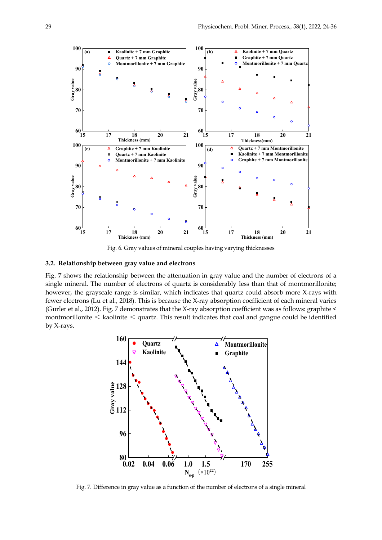

Fig. 6. Gray values of mineral couples having varying thicknesses

# **3.2. Relationship between gray value and electrons**

Fig. 7 shows the relationship between the attenuation in gray value and the number of electrons of a single mineral. The number of electrons of quartz is considerably less than that of montmorillonite; however, the grayscale range is similar, which indicates that quartz could absorb more X-rays with fewer electrons (Lu et al., 2018). This is because the X-ray absorption coefficient of each mineral varies (Gurler et al., 2012). Fig. 7 demonstrates that the X-ray absorption coefficient was as follows: graphite < montmorillonite < kaolinite < quartz. This result indicates that coal and gangue could be identified by X-rays.



Fig. 7. Difference in gray value as a function of the number of electrons of a single mineral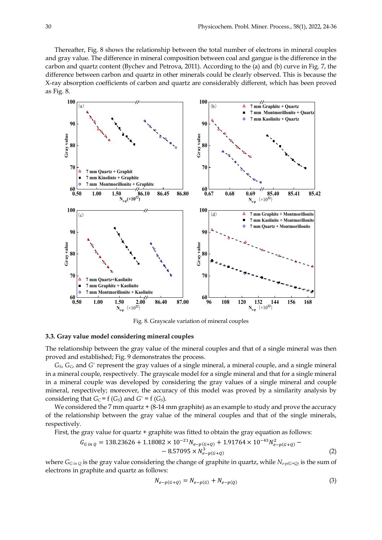Thereafter, Fig. 8 shows the relationship between the total number of electrons in mineral couples and gray value. The difference in mineral composition between coal and gangue is the difference in the carbon and quartz content (Bychev and Petrova, 2011). According to the (a) and (b) curve in Fig. 7, the difference between carbon and quartz in other minerals could be clearly observed. This is because the X-ray absorption coefficients of carbon and quartz are considerably different, which has been proved as Fig. 8.



Fig. 8. Grayscale variation of mineral couples

#### **3.3. Gray value model considering mineral couples**

The relationship between the gray value of the mineral couples and that of a single mineral was then proved and established; Fig. 9 demonstrates the process.

*GS*, *GC*, and *G'* represent the gray values of a single mineral, a mineral couple, and a single mineral in a mineral couple, respectively. The grayscale model for a single mineral and that for a single mineral in a mineral couple was developed by considering the gray values of a single mineral and couple mineral, respectively; moreover, the accuracy of this model was proved by a similarity analysis by considering that  $G_C = f(G_S)$  and  $G' = f(G_S)$ .

We considered the 7 mm quartz + (8-14 mm graphite) as an example to study and prove the accuracy of the relationship between the gray value of the mineral couples and that of the single minerals, respectively.

First, the gray value for quartz + graphite was fitted to obtain the gray equation as follows:

$$
G_{G\,in\,Q} = 138.23626 + 1.18082 \times 10^{-21} N_{e-p(G+Q)} + 1.91764 \times 10^{-43} N_{e-p(G+Q)}^2 - 8.57095 \times N_{e-p(G+Q)}^3 \tag{2}
$$

where *GG in Q* is the gray value considering the change of graphite in quartz, while *Ne-p(G+Q)* is the sum of electrons in graphite and quartz as follows:

$$
N_{e-p(G+Q)} = N_{e-p(G)} + N_{e-p(Q)}
$$
\n(3)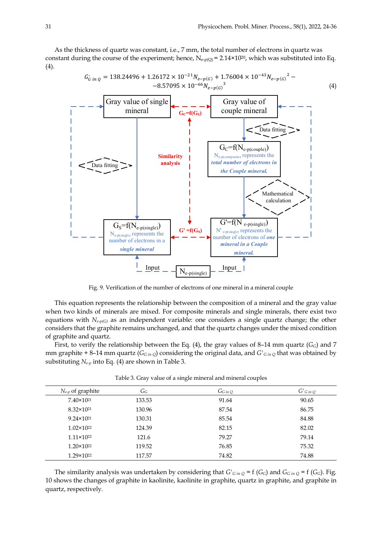As the thickness of quartz was constant, i.e., 7 mm, the total number of electrons in quartz was constant during the course of the experiment; hence,  $N_{e-p(Q)} = 2.14 \times 10^{20}$ , which was substituted into Eq. (4).



Fig. 9. Verification of the number of electrons of one mineral in a mineral couple

This equation represents the relationship between the composition of a mineral and the gray value when two kinds of minerals are mixed. For composite minerals and single minerals, there exist two equations with *Ne-p(G)* as an independent variable: one considers a single quartz change; the other considers that the graphite remains unchanged, and that the quartz changes under the mixed condition of graphite and quartz.

First, to verify the relationship between the Eq. (4), the gray values of 8–14 mm quartz ( $G_G$ ) and 7 mm graphite + 8–14 mm quartz (*GG in Q*) considering the original data, and *G'G in Q* that was obtained by substituting *Ne-p* into Eq. (4) are shown in Table 3.

| $N_{e-p}$ of graphite | $G_G$  | $G$ G in Q | $G'$ <sub>G</sub> in Q |
|-----------------------|--------|------------|------------------------|
| $7.40 \times 10^{21}$ | 133.53 | 91.64      | 90.65                  |
| $8.32 \times 10^{21}$ | 130.96 | 87.54      | 86.75                  |
| $9.24 \times 10^{21}$ | 130.31 | 85.54      | 84.88                  |
| $1.02 \times 10^{22}$ | 124.39 | 82.15      | 82.02                  |
| $1.11 \times 10^{22}$ | 121.6  | 79.27      | 79.14                  |
| $1.20 \times 10^{22}$ | 119.52 | 76.85      | 75.32                  |
| $1.29 \times 10^{22}$ | 117.57 | 74.82      | 74.88                  |

Table 3. Gray value of a single mineral and mineral couples

The similarity analysis was undertaken by considering that  $G'_{G in Q} = f(G_G)$  and  $G_{G in Q} = f(G_G)$ . Fig. 10 shows the changes of graphite in kaolinite, kaolinite in graphite, quartz in graphite, and graphite in quartz, respectively.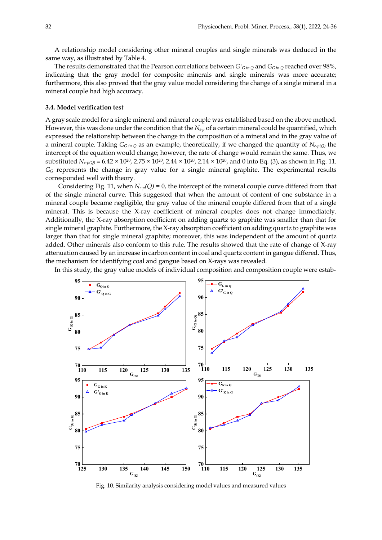A relationship model considering other mineral couples and single minerals was deduced in the same way, as illustrated by Table 4.

The results demonstrated that the Pearson correlations between *G'G in Q* and *GG in Q* reached over 98%, indicating that the gray model for composite minerals and single minerals was more accurate; furthermore, this also proved that the gray value model considering the change of a single mineral in a mineral couple had high accuracy.

#### **3.4. Model verification test**

A gray scale model for a single mineral and mineral couple was established based on the above method. However, this was done under the condition that the *Ne-p* of a certain mineral could be quantified, which expressed the relationship between the change in the composition of a mineral and in the gray value of a mineral couple. Taking  $G_{G \text{ in } Q}$  as an example, theoretically, if we changed the quantity of  $N_{e \text{-} p(Q)}$  the intercept of the equation would change; however, the rate of change would remain the same. Thus, we substituted  $N_{e-p(Q)} = 6.42 \times 10^{20}$ ,  $2.75 \times 10^{20}$ ,  $2.44 \times 10^{20}$ ,  $2.14 \times 10^{20}$ , and 0 into Eq. (3), as shown in Fig. 11. *GG* represents the change in gray value for a single mineral graphite. The experimental results corresponded well with theory.

Considering Fig. 11, when  $N_{e-p}(Q) = 0$ , the intercept of the mineral couple curve differed from that of the single mineral curve. This suggested that when the amount of content of one substance in a mineral couple became negligible, the gray value of the mineral couple differed from that of a single mineral. This is because the X-ray coefficient of mineral couples does not change immediately. Additionally, the X-ray absorption coefficient on adding quartz to graphite was smaller than that for single mineral graphite. Furthermore, the X-ray absorption coefficient on adding quartz to graphite was larger than that for single mineral graphite; moreover, this was independent of the amount of quartz added. Other minerals also conform to this rule. The results showed that the rate of change of X-ray attenuation caused by an increase in carbon content in coal and quartz content in gangue differed. Thus, the mechanism for identifying coal and gangue based on X-rays was revealed.

In this study, the gray value models of individual composition and composition couple were estab-



Fig. 10. Similarity analysis considering model values and measured values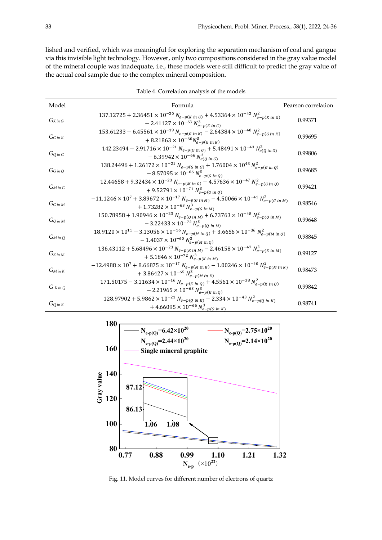lished and verified, which was meaningful for exploring the separation mechanism of coal and gangue via this invisible light technology. However, only two compositions considered in the gray value model of the mineral couple was inadequate, i.e., these models were still difficult to predict the gray value of the actual coal sample due to the complex mineral composition.

| Model          | Formula                                                                                                                                                                                                     | Pearson correlation |
|----------------|-------------------------------------------------------------------------------------------------------------------------------------------------------------------------------------------------------------|---------------------|
| $G_{K in G}$   | $\frac{137.12725 + 2.36451 \times 10^{-20} N_{e-p(K in G)} + 4.53364 \times 10^{-42} N_{e-p(K in G)}^2}{2.12725 + 2.36451 \times 10^{-20} N_{e-p(K in G)}}$<br>$-2.41127 \times 10^{-63} N_{e-p(K in G)}^3$ | 0.99371             |
| $G$ G in K     | 153.61233 – 6.45561 $\times$ 10 <sup>-19</sup> $N_{e-p(G in K)}$ – 2.64384 $\times$ 10 <sup>-40</sup> $N_{e-p(G in K)}^2$<br>+ 8.21863 $\times$ 10 <sup>-60</sup> $N_{e-p(G in K)}^3$                       | 0.99695             |
| $G_{O}$ in G   | $142.23494 - 2.91716 \times 10^{-21} N_{e-p(Q \text{ in } G)} + 5.48491 \times 10^{-43} N_{e(Q \text{ in } G)}^2$<br>$-6.39942 \times 10^{-66} N_{e(0 in G)}^3$                                             | 0.99806             |
| $G$ G in Q     | 138.24496 + 1.26172 $\times$ 10 <sup>-21</sup> $N_{e-p(G \text{ in } Q)}$ + 1.76004 $\times$ 10 <sup>43</sup> $N_{e-p(G \text{ in } Q)}^2$<br>$-8.57095 \times 10^{-66} N_{e-p(G in 0)}^3$                  | 0.99685             |
| $G_M$ in G     | 12.44658 + 9.32434 $\times$ 10 <sup>-23</sup> $N_{e-p(M \text{ in } G)}$ – 4.57636 $\times$ 10 <sup>-47</sup> $N_{e-p(G \text{ in } Q)}^2$<br>$+9.52791 \times 10^{-71} N_{e-p(G in Q)}^3$                  | 0.99421             |
| $G$ G in M     | $-11.1246 \times 10^7 + 3.89672 \times 10^{-17} N_{e-p(G \text{ in } M)} - 4.50066 \times 10^{-41} N_{e-p(G \text{ in } M)}^2$<br>+ 1.73282 $\times$ 10 <sup>-63</sup> $N_{e-p(G in M)}^3$                  | 0.98546             |
| $G_{Qin M}$    | $150.78958 + 1.90946 \times 10^{-23} N_{e-p(Q \text{ in } M)} + 6.73763 \times 10^{-48} N_{e-p(Q \text{ in } M)}^2$<br>$-3.22433 \times 10^{-72} N_{e-p(Q \ln M)}^3$                                        | 0.99648             |
| $G_M$ in Q     | $18.9120 \times 10^{11} - 3.13056 \times 10^{-16} N_{e-p(M in Q)} + 3.6656 \times 10^{-36} N_{e-p(M in Q)}^2$<br>$-1.4037 \times 10^{-60} N_{e-p(M in 0)}^3$                                                | 0.98845             |
| $G_{K\,in\,M}$ | $136.43112 + 5.68496 \times 10^{-23} N_{e-p(K \text{ in } M)} - 2.46158 \times 10^{-47} N_{e-p(K \text{ in } M)}^2$<br>$+5.1846 \times 10^{-72} N_{e-p(K in M)}^3$                                          | 0.99127             |
| $G_M$ in $K$   | $-12.4988 \times 10^7 + 8.66875 \times 10^{-17} N_{e-p(M in K)} - 1.00246 \times 10^{-40} N_{e-p(M in K)}^2$<br>+ 3.86427 $\times$ 10 <sup>-65</sup> $N_{e-p(M in K)}^3$                                    | 0.98473             |
| $G_{KinQ}$     | 171.50175 - 3.11634 $\times$ 10 <sup>-16</sup> $N_{e-p(K in Q)} + 4.5561 \times 10^{-38} N_{e-p(K in Q)}^2$<br>$-2.21965 \times 10^{-63} N_{e-p(K in 0)}^3$                                                 | 0.99842             |
| $G_Q$ in $K$   | $128.97902 + 5.9862 \times 10^{-21} N_{e-p(Q \text{ in } K)} - 2.334 \times 10^{-43} N_{e-p(Q \text{ in } K)}^2$<br>+ 4.66095 $\times$ 10 <sup>-66</sup> $N_{e-p(Q\ in\ K)}^3$                              | 0.98741             |

Table 4. Correlation analysis of the models



Fig. 11. Model curves for different number of electrons of quartz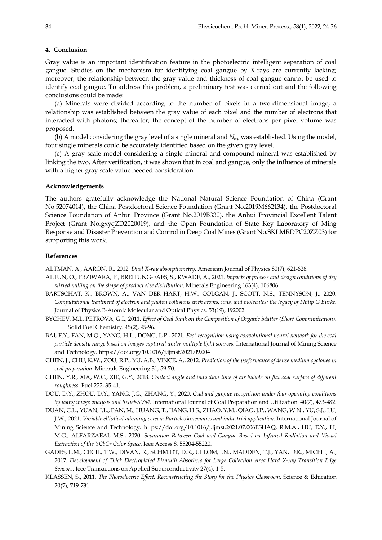#### **4. Conclusion**

Gray value is an important identification feature in the photoelectric intelligent separation of coal gangue. Studies on the mechanism for identifying coal gangue by X-rays are currently lacking; moreover, the relationship between the gray value and thickness of coal gangue cannot be used to identify coal gangue. To address this problem, a preliminary test was carried out and the following conclusions could be made:

(a) Minerals were divided according to the number of pixels in a two-dimensional image; a relationship was established between the gray value of each pixel and the number of electrons that interacted with photons; thereafter, the concept of the number of electrons per pixel volume was proposed.

(b) A model considering the gray level of a single mineral and  $N_{e-p}$  was established. Using the model, four single minerals could be accurately identified based on the given gray level.

(c) A gray scale model considering a single mineral and compound mineral was established by linking the two. After verification, it was shown that in coal and gangue, only the influence of minerals with a higher gray scale value needed consideration.

#### **Acknowledgements**

The authors gratefully acknowledge the National Natural Science Foundation of China (Grant No.52074014), the China Postdoctoral Science Foundation (Grant No.2019M662134), the Postdoctoral Science Foundation of Anhui Province (Grant No.2019B330), the Anhui Provincial Excellent Talent Project (Grant No.gxyqZD2020019), and the Open Foundation of State Key Laboratory of Ming Response and Disaster Prevention and Control in Deep Coal Mines (Grant No.SKLMRDPC20ZZ03) for supporting this work.

# **References**

ALTMAN, A., AARON, R., 2012. *Dual X-ray absorptiometry*. American Journal of Physics 80(7), 621-626.

- ALTUN, O., PRZIWARA, P., BREITUNG-FAES, S., KWADE, A., 2021. *Impacts of process and design conditions of dry stirred milling on the shape of product size distribution*. Minerals Engineering 163(4), 106806.
- BARTSCHAT, K., BROWN, A., VAN DER HART, H.W., COLGAN, J., SCOTT, N.S., TENNYSON, J., 2020. *Computational treatment of electron and photon collisions with atoms, ions, and molecules: the legacy of Philip G Burke*. Journal of Physics B-Atomic Molecular and Optical Physics. 53(19), 192002.
- BYCHEV, M.I., PETROVA, G.I., 2011. *Effect of Coal Rank on the Composition of Organic Matter (Short Communication)*. Solid Fuel Chemistry. 45(2), 95-96.
- BAI, F.Y., FAN, M.Q., YANG, H.L., DONG, L.P., 2021. *Fast recognition using convolutional neural network for the coal particle density range based on images captured under multiple light sources. International Journal of Mining Science* and Technology. https://doi.org/10.1016/j.ijmst.2021.09.004
- CHEN, J., CHU, K.W., ZOU, R.P., YU, A.B., VINCE, A., 2012. *Prediction of the performance of dense medium cyclones in coal preparation*. Minerals Engineering 31, 59-70.
- CHEN, Y.R., XIA, W.C., XIE, G.Y., 2018. *Contact angle and induction time of air bubble on flat coal surface of different roughness*. Fuel 222, 35-41.
- DOU, D.Y., ZHOU, D.Y., YANG, J.G., ZHANG, Y., 2020. *Coal and gangue recognition under four operating conditions by using image analysis and Relief-SVM*. International Journal of Coal Preparation and Utilization. 40(7), 473-482.
- DUAN, C.L., YUAN, J.L., PAN, M., HUANG, T., JIANG, H.S., ZHAO, Y.M., QIAO, J.P., WANG, W.N., YU, S.J., LU, J.W., 2021. *Variable elliptical vibrating screen: Particles kinematics and industrial application.* International Journal of Mining Science and Technology. https://doi.org/10.1016/j.ijmst.2021.07.006ESHAQ, R.M.A., HU, E.Y., LI, M.G., ALFARZAEAI, M.S., 2020. *Separation Between Coal and Gangue Based on Infrared Radiation and Visual Extraction of the YCbCr Color Space*. Ieee Access 8, 55204-55220.
- GADES, L.M., CECIL, T.W., DIVAN, R., SCHMIDT, D.R., ULLOM, J.N., MADDEN, T.J., YAN, D.K., MICELI, A., 2017. *Development of Thick Electroplated Bismuth Absorbers for Large Collection Area Hard X-ray Transition Edge Sensors*. Ieee Transactions on Applied Superconductivity 27(4), 1-5.
- KLASSEN, S., 2011. *The Photoelectric Effect: Reconstructing the Story for the Physics Classroom*. Science & Education 20(7), 719-731.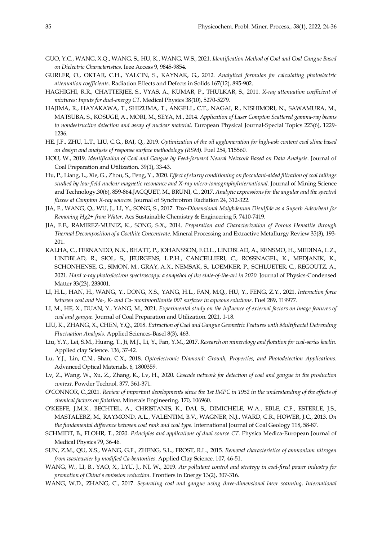- GUO, Y.C., WANG, X.Q., WANG, S., HU, K., WANG, W.S., 2021. *Identification Method of Coal and Coal Gangue Based on Dielectric Characteristics*. Ieee Access 9, 9845-9854.
- GURLER, O., OKTAR, C.H., YALCIN, S., KAYNAK, G., 2012. *Analytical formulas for calculating photoelectric attenuation coefficients*. Radiation Effects and Defects in Solids 167(12), 895-902.
- HAGHIGHI, R.R., CHATTERJEE, S., VYAS, A., KUMAR, P., THULKAR, S., 2011. *X-ray attenuation coefficient of mixtures: Inputs for dual-energy CT*. Medical Physics 38(10), 5270-5279.
- HAJIMA, R., HAYAKAWA, T., SHIZUMA, T., ANGELL, C.T., NAGAI, R., NISHIMORI, N., SAWAMURA, M., MATSUBA, S., KOSUGE, A., MORI, M., SEYA, M., 2014. *Application of Laser Compton Scattered gamma-ray beams to nondestructive detection and assay of nuclear material*. European Physical Journal-Special Topics 223(6), 1229- 1236.
- HE, J.F., ZHU, L.T., LIU, C.G., BAI, Q., 2019. *Optimization of the oil agglomeration for high-ash content coal slime based on design and analysis of response surface methodology (RSM)*. Fuel 254, 115560.
- HOU, W., 2019. *Identification of Coal and Gangue by Feed-forward Neural Network Based on Data Analysis*. Journal of Coal Preparation and Utilization. 39(1), 33-43.
- Hu, P., Liang, L., Xie, G., Zhou, S., Peng, Y., 2020. *Effect of slurry conditioning on flocculant-aided filtration of coal tailings studied by low-field nuclear magnetic resonance and X-ray micro-tomographyInternational.* Journal of Mining Science and Technology.30(6), 859-864.JACQUET, M., BRUNI, C., 2017. *Analytic expressions for the angular and the spectral fluxes at Compton X-ray sources*. Journal of Synchrotron Radiation 24, 312-322.
- JIA, F., WANG, Q., WU, J., LI, Y., SONG, S., 2017. *Two-Dimensional Molybdenum Disulfide as a Superb Adsorbent for Removing Hg2+ from Water*. Acs Sustainable Chemistry & Engineering 5, 7410-7419.
- JIA, F.F., RAMIREZ-MUNIZ, K., SONG, S.X., 2014. *Preparation and Characterization of Porous Hematite through Thermal Decomposition of a Goethite Concentrate*. Mineral Processing and Extractive Metallurgy Review 35(3), 193- 201.
- KALHA, C., FERNANDO, N.K., BHATT, P., JOHANSSON, F.O.L., LINDBLAD, A., RENSMO, H., MEDINA, L.Z., LINDBLAD, R., SIOL, S., JEURGENS, L.P.H., CANCELLIERI, C., ROSSNAGEL, K., MEDJANIK, K., SCHONHENSE, G., SIMON, M., GRAY, A.X., NEMSAK, S., LOEMKER, P., SCHLUETER, C., REGOUTZ, A., 2021. *Hard x-ray photoelectron spectroscopy: a snapshot of the state-of-the-art in 2020*. Journal of Physics-Condensed Matter 33(23), 233001.
- LI, H.L., HAN, H., WANG, Y., DONG, X.S., YANG, H.L., FAN, M.Q., HU, Y., FENG, Z.Y., 2021. *Interaction force between coal and Na-, K- and Ca- montmorillonite 001 surfaces in aqueous solutions*. Fuel 289, 119977.
- LI, M., HE, X., DUAN, Y., YANG, M., 2021. *Experimental study on the influence of external factors on image features of coal and gangue.* Journal of Coal Preparation and Utilization. 2021, 1-18.
- LIU, K., ZHANG, X., CHEN, Y.Q., 2018. *Extraction of Coal and Gangue Geometric Features with Multifractal Detrending Fluctuation Analysis*. Applied Sciences-Basel 8(3), 463.
- Liu, Y.Y., Lei, S.M., Huang, T., Ji, M.J., Li, Y., Fan, Y.M., 2017. *Research on mineralogy and flotation for coal-series kaolin*. Applied clay Science. 136, 37-42.
- Lu, Y.J., Lin, C.N., Shan, C.X., 2018. *Optoelectronic Diamond: Growth, Properties, and Photodetection Applications*. Advanced Optical Materials. 6, 1800359.
- Lv, Z., Wang, W., Xu, Z., Zhang, K., Lv, H., 2020. *Cascade network for detection of coal and gangue in the production context*. Powder Technol. 377, 361-371.
- O'CONNOR, C.,2021. *Review of important developments since the 1st IMPC in 1952 in the understanding of the effects of chemical factors on flotation*. Minerals Engineering. 170, 106960.
- O'KEEFE, J.M.K., BECHTEL, A., CHRISTANIS, K., DAI, S., DIMICHELE, W.A., EBLE, C.F., ESTERLE, J.S., MASTALERZ, M., RAYMOND, A.L., VALENTIM, B.V., WAGNER, N.J., WARD, C.R., HOWER, J.C., 2013. *On the fundamental difference between coal rank and coal type*. International Journal of Coal Geology 118, 58-87.
- SCHMIDT, B., FLOHR, T., 2020. *Principles and applications of dual source CT*. Physica Medica-European Journal of Medical Physics 79, 36-46.
- SUN, Z.M., QU, X.S., WANG, G.F., ZHENG, S.L., FROST, R.L., 2015. *Removal characteristics of ammonium nitrogen from wastewater by modified Ca-bentonites*. Applied Clay Science. 107, 46-51.
- WANG, W., LI, B., YAO, X., LYU, J., NI, W., 2019. *Air pollutant control and strategy in coal-fired power industry for promotion of China's emission reduction*. Frontiers in Energy 13(2), 307-316.
- WANG, W.D., ZHANG, C., 2017. *Separating coal and gangue using three-dimensional laser scanning. International*